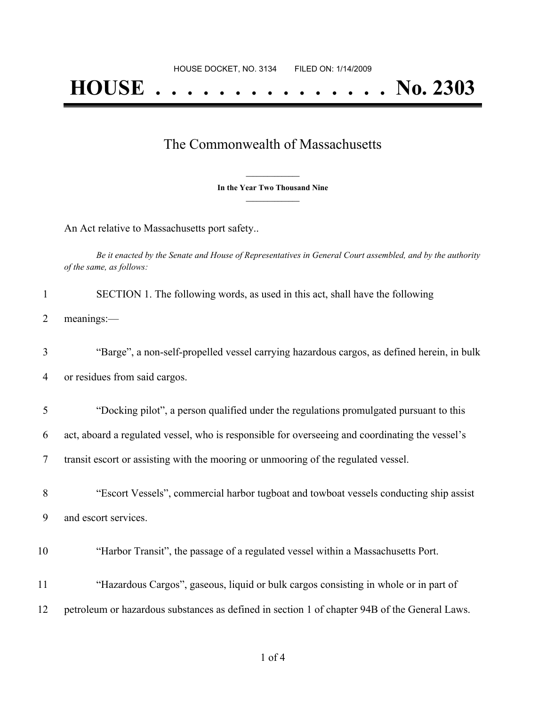## **HOUSE . . . . . . . . . . . . . . . No. 2303**

## The Commonwealth of Massachusetts

**\_\_\_\_\_\_\_\_\_\_\_\_\_\_\_ In the Year Two Thousand Nine \_\_\_\_\_\_\_\_\_\_\_\_\_\_\_**

An Act relative to Massachusetts port safety..

Be it enacted by the Senate and House of Representatives in General Court assembled, and by the authority *of the same, as follows:*

| SECTION 1. The following words, as used in this act, shall have the following |
|-------------------------------------------------------------------------------|
| 2 meanings:—                                                                  |

3 "Barge", a non-self-propelled vessel carrying hazardous cargos, as defined herein, in bulk 4 or residues from said cargos.

5 "Docking pilot", a person qualified under the regulations promulgated pursuant to this

6 act, aboard a regulated vessel, who is responsible for overseeing and coordinating the vessel's

7 transit escort or assisting with the mooring or unmooring of the regulated vessel.

8 "Escort Vessels", commercial harbor tugboat and towboat vessels conducting ship assist 9 and escort services.

- 10 "Harbor Transit", the passage of a regulated vessel within a Massachusetts Port.
- 11 "Hazardous Cargos", gaseous, liquid or bulk cargos consisting in whole or in part of
- 12 petroleum or hazardous substances as defined in section 1 of chapter 94B of the General Laws.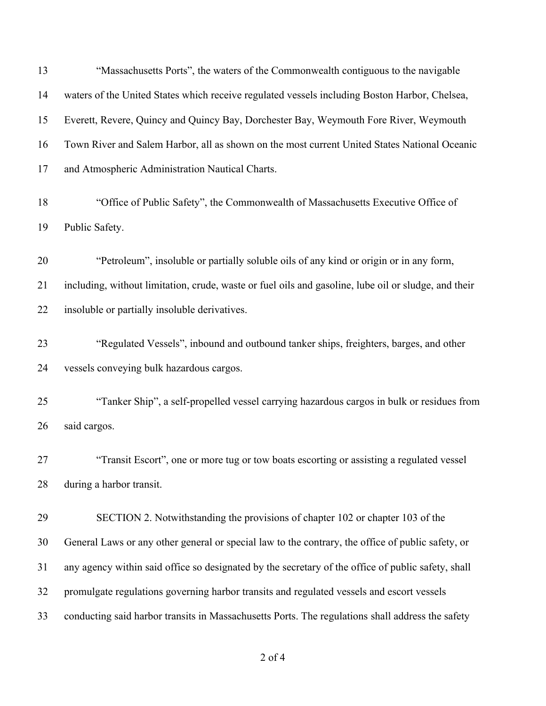| 13 | "Massachusetts Ports", the waters of the Commonwealth contiguous to the navigable                    |
|----|------------------------------------------------------------------------------------------------------|
| 14 | waters of the United States which receive regulated vessels including Boston Harbor, Chelsea,        |
| 15 | Everett, Revere, Quincy and Quincy Bay, Dorchester Bay, Weymouth Fore River, Weymouth                |
| 16 | Town River and Salem Harbor, all as shown on the most current United States National Oceanic         |
| 17 | and Atmospheric Administration Nautical Charts.                                                      |
| 18 | "Office of Public Safety", the Commonwealth of Massachusetts Executive Office of                     |
| 19 | Public Safety.                                                                                       |
| 20 | "Petroleum", insoluble or partially soluble oils of any kind or origin or in any form,               |
| 21 | including, without limitation, crude, waste or fuel oils and gasoline, lube oil or sludge, and their |
| 22 | insoluble or partially insoluble derivatives.                                                        |
| 23 | "Regulated Vessels", inbound and outbound tanker ships, freighters, barges, and other                |
| 24 | vessels conveying bulk hazardous cargos.                                                             |
| 25 | "Tanker Ship", a self-propelled vessel carrying hazardous cargos in bulk or residues from            |
| 26 | said cargos.                                                                                         |
| 27 | "Transit Escort", one or more tug or tow boats escorting or assisting a regulated vessel             |
| 28 | during a harbor transit.                                                                             |
| 29 | SECTION 2. Notwithstanding the provisions of chapter 102 or chapter 103 of the                       |
| 30 | General Laws or any other general or special law to the contrary, the office of public safety, or    |
| 31 | any agency within said office so designated by the secretary of the office of public safety, shall   |
| 32 | promulgate regulations governing harbor transits and regulated vessels and escort vessels            |
| 33 | conducting said harbor transits in Massachusetts Ports. The regulations shall address the safety     |

of 4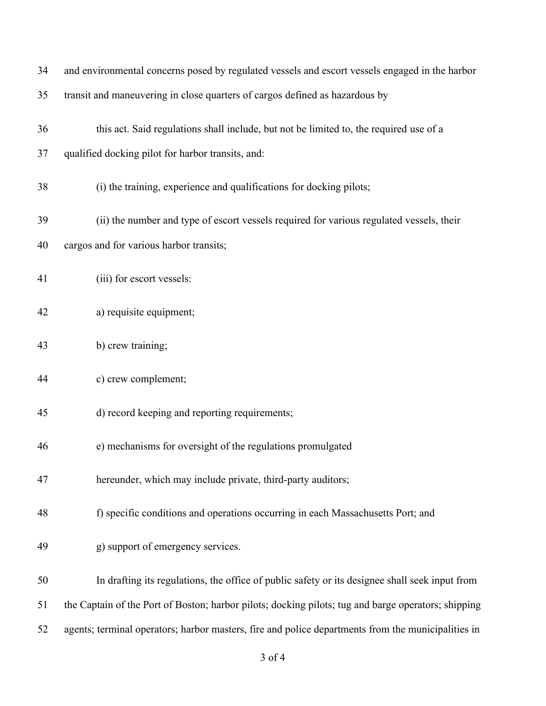| 34 | and environmental concerns posed by regulated vessels and escort vessels engaged in the harbor      |
|----|-----------------------------------------------------------------------------------------------------|
| 35 | transit and maneuvering in close quarters of cargos defined as hazardous by                         |
| 36 | this act. Said regulations shall include, but not be limited to, the required use of a              |
| 37 | qualified docking pilot for harbor transits, and:                                                   |
| 38 | (i) the training, experience and qualifications for docking pilots;                                 |
| 39 | (ii) the number and type of escort vessels required for various regulated vessels, their            |
| 40 | cargos and for various harbor transits;                                                             |
| 41 | (iii) for escort vessels:                                                                           |
| 42 | a) requisite equipment;                                                                             |
| 43 | b) crew training;                                                                                   |
| 44 | c) crew complement;                                                                                 |
| 45 | d) record keeping and reporting requirements;                                                       |
| 46 | e) mechanisms for oversight of the regulations promulgated                                          |
| 47 | hereunder, which may include private, third-party auditors;                                         |
| 48 | f) specific conditions and operations occurring in each Massachusetts Port; and                     |
| 49 | g) support of emergency services.                                                                   |
| 50 | In drafting its regulations, the office of public safety or its designee shall seek input from      |
| 51 | the Captain of the Port of Boston; harbor pilots; docking pilots; tug and barge operators; shipping |
| 52 | agents; terminal operators; harbor masters, fire and police departments from the municipalities in  |
|    | $3$ of $4$                                                                                          |